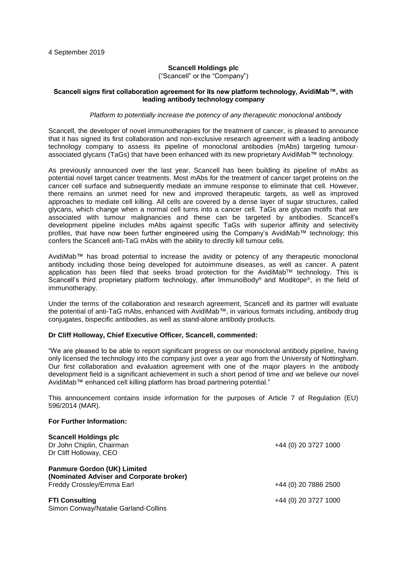# **Scancell Holdings plc**

("Scancell" or the "Company")

### **Scancell signs first collaboration agreement for its new platform technology, AvidiMab™, with leading antibody technology company**

### *Platform to potentially increase the potency of any therapeutic monoclonal antibody*

Scancell, the developer of novel immunotherapies for the treatment of cancer, is pleased to announce that it has signed its first collaboration and non-exclusive research agreement with a leading antibody technology company to assess its pipeline of monoclonal antibodies (mAbs) targeting tumourassociated glycans (TaGs) that have been enhanced with its new proprietary AvidiMab™ technology.

As previously announced over the last year, Scancell has been building its pipeline of mAbs as potential novel target cancer treatments. Most mAbs for the treatment of cancer target proteins on the cancer cell surface and subsequently mediate an immune response to eliminate that cell. However, there remains an unmet need for new and improved therapeutic targets, as well as improved approaches to mediate cell killing. All cells are covered by a dense layer of sugar structures, called glycans, which change when a normal cell turns into a cancer cell. TaGs are glycan motifs that are associated with tumour malignancies and these can be targeted by antibodies. Scancell's development pipeline includes mAbs against specific TaGs with superior affinity and selectivity profiles, that have now been further engineered using the Company's AvidiMab™ technology; this confers the Scancell anti-TaG mAbs with the ability to directly kill tumour cells.

AvidiMab™ has broad potential to increase the avidity or potency of any therapeutic monoclonal antibody including those being developed for autoimmune diseases, as well as cancer. A patent application has been filed that seeks broad protection for the AvidiMab™ technology. This is Scancell's third proprietary platform technology, after ImmunoBody® and Moditope®, in the field of immunotherapy.

Under the terms of the collaboration and research agreement, Scancell and its partner will evaluate the potential of anti-TaG mAbs, enhanced with AvidiMab™, in various formats including, antibody drug conjugates, bispecific antibodies, as well as stand-alone antibody products.

### **Dr Cliff Holloway, Chief Executive Officer, Scancell, commented:**

"We are pleased to be able to report significant progress on our monoclonal antibody pipeline, having only licensed the technology into the company just over a year ago from the University of Nottingham. Our first collaboration and evaluation agreement with one of the major players in the antibody development field is a significant achievement in such a short period of time and we believe our novel AvidiMab™ enhanced cell killing platform has broad partnering potential."

This announcement contains inside information for the purposes of Article 7 of Regulation (EU) 596/2014 (MAR).

#### **For Further Information:**

| <b>Scancell Holdings plc</b><br>Dr John Chiplin, Chairman<br>Dr Cliff Holloway, CEO                         | +44 (0) 20 3727 1000 |
|-------------------------------------------------------------------------------------------------------------|----------------------|
| <b>Panmure Gordon (UK) Limited</b><br>(Nominated Adviser and Corporate broker)<br>Freddy Crossley/Emma Earl | +44 (0) 20 7886 2500 |
| <b>FTI Consulting</b><br>Simon Conway/Natalie Garland-Collins                                               | +44 (0) 20 3727 1000 |